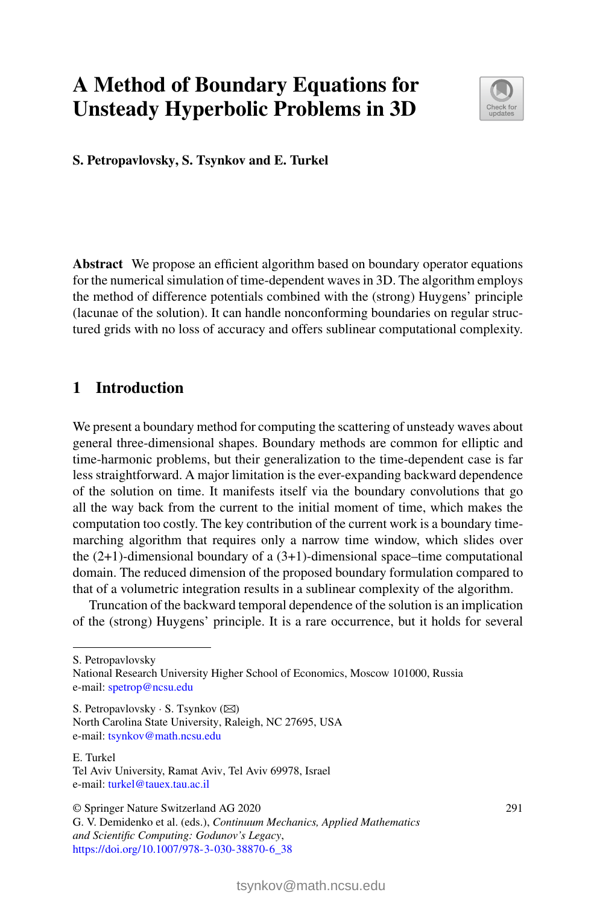# **A Method of Boundary Equations for Unsteady Hyperbolic Problems in 3D**



**S. Petropavlovsky, S. Tsynkov and E. Turkel**

**Abstract** We propose an efficient algorithm based on boundary operator equations for the numerical simulation of time-dependent waves in 3D. The algorithm employs the method of difference potentials combined with the (strong) Huygens' principle (lacunae of the solution). It can handle nonconforming boundaries on regular structured grids with no loss of accuracy and offers sublinear computational complexity.

## **1 Introduction**

We present a boundary method for computing the scattering of unsteady waves about general three-dimensional shapes. Boundary methods are common for elliptic and time-harmonic problems, but their generalization to the time-dependent case is far less straightforward. A major limitation is the ever-expanding backward dependence of the solution on time. It manifests itself via the boundary convolutions that go all the way back from the current to the initial moment of time, which makes the computation too costly. The key contribution of the current work is a boundary timemarching algorithm that requires only a narrow time window, which slides over the  $(2+1)$ -dimensional boundary of a  $(3+1)$ -dimensional space–time computational domain. The reduced dimension of the proposed boundary formulation compared to that of a volumetric integration results in a sublinear complexity of the algorithm.

Truncation of the backward temporal dependence of the solution is an implication of the (strong) Huygens' principle. It is a rare occurrence, but it holds for several

S. Petropavlovsky

National Research University Higher School of Economics, Moscow 101000, Russia e-mail: [spetrop@ncsu.edu](mailto:spetrop@ncsu.edu)

S. Petropavlovsky · S. Tsynkov ( $\boxtimes$ ) North Carolina State University, Raleigh, NC 27695, USA e-mail: [tsynkov@math.ncsu.edu](mailto:tsynkov@math.ncsu.edu)

E. Turkel

Tel Aviv University, Ramat Aviv, Tel Aviv 69978, Israel e-mail: [turkel@tauex.tau.ac.il](mailto:turkel@tauex.tau.ac.il)

<sup>©</sup> Springer Nature Switzerland AG 2020 G. V. Demidenko et al. (eds.), *Continuum Mechanics, Applied Mathematics and Scientific Computing: Godunov's Legacy*, [https://doi.org/10.1007/978-3-030-38870-6\\_38](https://doi.org/10.1007/978-3-030-38870-6_38)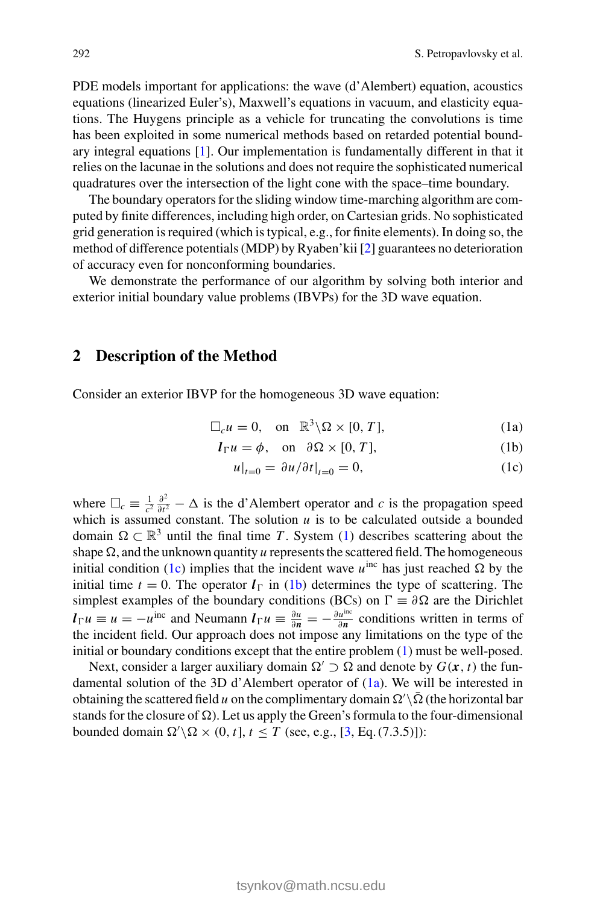PDE models important for applications: the wave (d'Alembert) equation, acoustics equations (linearized Euler's), Maxwell's equations in vacuum, and elasticity equations. The Huygens principle as a vehicle for truncating the convolutions is time has been exploited in some numerical methods based on retarded potential boundary integral equations [1]. Our implementation is fundamentally different in that it relies on the lacunae in the solutions and does not require the sophisticated numerical quadratures over the intersection of the light cone with the space–time boundary.

The boundary operators for the sliding window time-marching algorithm are computed by finite differences, including high order, on Cartesian grids. No sophisticated grid generation is required (which is typical, e.g., for finite elements). In doing so, the method of difference potentials (MDP) by Ryaben'kii [2] guarantees no deterioration of accuracy even for nonconforming boundaries.

We demonstrate the performance of our algorithm by solving both interior and exterior initial boundary value problems (IBVPs) for the 3D wave equation.

#### **2 Description of the Method**

Consider an exterior IBVP for the homogeneous 3D wave equation:

$$
\Box_c u = 0, \quad \text{on} \quad \mathbb{R}^3 \backslash \Omega \times [0, T], \tag{1a}
$$

$$
l_{\Gamma}u = \phi, \quad \text{on} \quad \partial \Omega \times [0, T], \tag{1b}
$$

$$
u|_{t=0} = \partial u/\partial t|_{t=0} = 0,\tag{1c}
$$

where  $\Box_c \equiv \frac{1}{c^2} \frac{\partial^2}{\partial t^2} - \Delta$  is the d'Alembert operator and *c* is the propagation speed which is assumed constant. The solution *u* is to be calculated outside a bounded domain  $\Omega \subset \mathbb{R}^3$  until the final time *T*. System (1) describes scattering about the shape  $\Omega$ , and the unknown quantity  $u$  represents the scattered field. The homogeneous initial condition (1c) implies that the incident wave  $u^{\text{inc}}$  has just reached  $\Omega$  by the initial time  $t = 0$ . The operator  $l_{\Gamma}$  in (1b) determines the type of scattering. The simplest examples of the boundary conditions (BCs) on  $\Gamma \equiv \partial \Omega$  are the Dirichlet  $l_{\Gamma} u \equiv u = -u^{\text{inc}}$  and Neumann  $l_{\Gamma} u \equiv \frac{\partial u}{\partial n} = -\frac{\partial u^{\text{inc}}}{\partial n}$  conditions written in terms of the incident field. Our approach does not impose any limitations on the type of the initial or boundary conditions except that the entire problem (1) must be well-posed.

Next, consider a larger auxiliary domain  $\Omega' \supset \Omega$  and denote by  $G(\mathbf{x}, t)$  the fundamental solution of the 3D d'Alembert operator of (1a). We will be interested in obtaining the scattered field *u* on the complimentary domain  $\Omega' \setminus \Omega$  (the horizontal bar stands for the closure of  $\Omega$ ). Let us apply the Green's formula to the four-dimensional bounded domain  $\Omega' \backslash \Omega \times (0, t]$ ,  $t \leq T$  (see, e.g., [3, Eq. (7.3.5)]):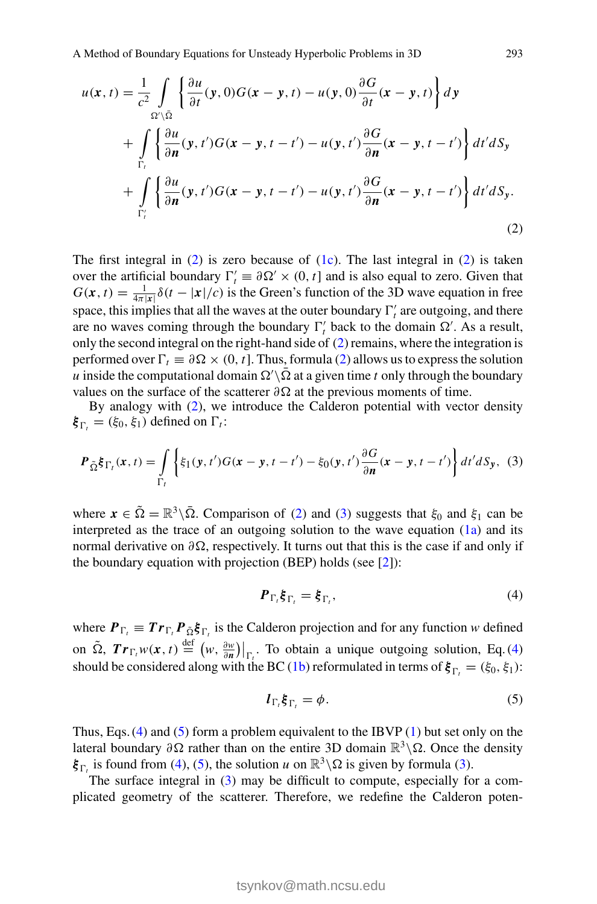A Method of Boundary Equations for Unsteady Hyperbolic Problems in 3D 293

$$
u(\mathbf{x},t) = \frac{1}{c^2} \int_{\Omega' \setminus \overline{\Omega}} \left\{ \frac{\partial u}{\partial t}(\mathbf{y},0)G(\mathbf{x}-\mathbf{y},t) - u(\mathbf{y},0) \frac{\partial G}{\partial t}(\mathbf{x}-\mathbf{y},t) \right\} dy
$$
  
+ 
$$
\int_{\Gamma_t} \left\{ \frac{\partial u}{\partial n}(\mathbf{y},t')G(\mathbf{x}-\mathbf{y},t-t') - u(\mathbf{y},t') \frac{\partial G}{\partial n}(\mathbf{x}-\mathbf{y},t-t') \right\} dt'dS_{\mathbf{y}}
$$
  
+ 
$$
\int_{\Gamma_t'} \left\{ \frac{\partial u}{\partial n}(\mathbf{y},t')G(\mathbf{x}-\mathbf{y},t-t') - u(\mathbf{y},t') \frac{\partial G}{\partial n}(\mathbf{x}-\mathbf{y},t-t') \right\} dt'dS_{\mathbf{y}}.
$$
(2)

The first integral in (2) is zero because of (1c). The last integral in (2) is taken over the artificial boundary  $\Gamma'_t \equiv \partial \Omega' \times (0, t]$  and is also equal to zero. Given that  $G(\mathbf{x}, t) = \frac{1}{4\pi |\mathbf{x}|} \delta(t - |\mathbf{x}|/c)$  is the Green's function of the 3D wave equation in free space, this implies that all the waves at the outer boundary  $\Gamma'_t$  are outgoing, and there are no waves coming through the boundary  $\Gamma'$  back to the domain  $\Omega'$ . As a result, only the second integral on the right-hand side of  $(2)$  remains, where the integration is performed over  $\Gamma_t \equiv \partial \Omega \times (0, t]$ . Thus, formula (2) allows us to express the solution *u* inside the computational domain  $\Omega' \setminus \Omega$  at a given time *t* only through the boundary values on the surface of the scatterer  $\partial \Omega$  at the previous moments of time.

By analogy with (2), we introduce the Calderon potential with vector density  $\boldsymbol{\xi}_{\Gamma_t} = (\xi_0, \xi_1)$  defined on  $\Gamma_t$ :

$$
\boldsymbol{P}_{\tilde{\Omega}}\boldsymbol{\xi}_{\Gamma_{t}}(\boldsymbol{x},t)=\int_{\Gamma_{t}}\left\{\xi_{1}(\boldsymbol{y},t')G(\boldsymbol{x}-\boldsymbol{y},t-t')-\xi_{0}(\boldsymbol{y},t')\frac{\partial G}{\partial \boldsymbol{n}}(\boldsymbol{x}-\boldsymbol{y},t-t')\right\}dt'dS_{\boldsymbol{y}},\tag{3}
$$

where  $\mathbf{x} \in \tilde{\Omega} = \mathbb{R}^3 \setminus \bar{\Omega}$ . Comparison of (2) and (3) suggests that  $\xi_0$  and  $\xi_1$  can be interpreted as the trace of an outgoing solution to the wave equation  $(1a)$  and its normal derivative on ∂Ω, respectively. It turns out that this is the case if and only if the boundary equation with projection (BEP) holds (see [2]):

$$
\boldsymbol{P}_{\Gamma_t} \boldsymbol{\xi}_{\Gamma_t} = \boldsymbol{\xi}_{\Gamma_t},\tag{4}
$$

where  $P_{\Gamma_t} \equiv Tr_{\Gamma_t} P_{\tilde{\Omega}} \xi_{\Gamma_t}$  is the Calderon projection and for any function *w* defined on  $\tilde{\Omega}$ ,  $Tr_{\Gamma_t} w(x, t) \stackrel{\text{def}}{=} (w, \frac{\partial w}{\partial n})\big|_{\Gamma_t}$ . To obtain a unique outgoing solution, Eq. (4) should be considered along with the BC (1b) reformulated in terms of  $\boldsymbol{\xi}_{\Gamma} = (\xi_0, \xi_1)$ :

$$
l_{\Gamma_t} \xi_{\Gamma_t} = \phi. \tag{5}
$$

Thus, Eqs. (4) and (5) form a problem equivalent to the IBVP  $(1)$  but set only on the lateral boundary  $\partial \Omega$  rather than on the entire 3D domain  $\mathbb{R}^3 \setminus \Omega$ . Once the density  $\boldsymbol{\xi}_{\Gamma_t}$  is found from (4), (5), the solution *u* on  $\mathbb{R}^3 \setminus \Omega$  is given by formula (3).

The surface integral in (3) may be difficult to compute, especially for a complicated geometry of the scatterer. Therefore, we redefine the Calderon poten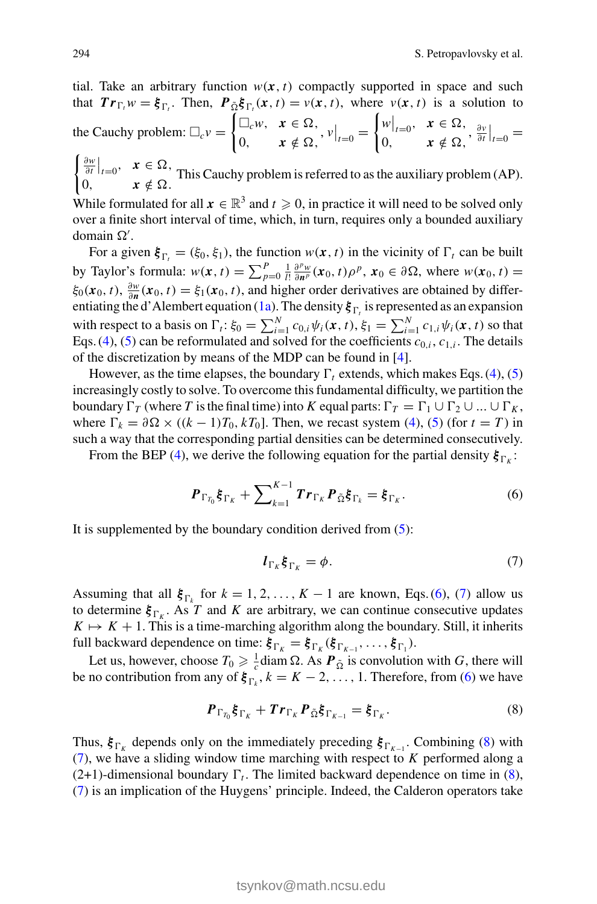tial. Take an arbitrary function  $w(x, t)$  compactly supported in space and such that  $Tr_{\Gamma_t} w = \xi_{\Gamma_t}$ . Then,  $P_{\tilde{\Omega}} \xi_{\Gamma_t}(x, t) = v(x, t)$ , where  $v(x, t)$  is a solution to the Cauchy problem:  $\Box_c v =$  $\int \Box_c w, \quad x \in \Omega,$ 0,  $x \notin \Omega$ ,  $v|_{t=0} =$  $\left\{ w \right|_{t=0}, \quad x \in \Omega,$  $\int_0^{\pi}$   $\left| t=0 \right\rangle$ ,  $\left| \frac{\partial v}{\partial t} \right|_{t=0}$  =  $\left| \frac{\partial v}{\partial t} \right|_{t=0}$ 

 $\left\{\frac{\partial w}{\partial t}\Big|_{t=0}, \quad x \in \Omega, \right\}$  $\int_0^{\partial t} \frac{dt}{t} = 0$ . This Cauchy problem is referred to as the auxiliary problem (AP).

While formulated for all  $x \in \mathbb{R}^3$  and  $t \ge 0$ , in practice it will need to be solved only over a finite short interval of time, which, in turn, requires only a bounded auxiliary domain  $\Omega'$ .

For a given  $\xi_{\Gamma_t} = (\xi_0, \xi_1)$ , the function  $w(x, t)$  in the vicinity of  $\Gamma_t$  can be built by Taylor's formula:  $w(\mathbf{x}, t) = \sum_{p=0}^{P} \frac{1}{l!}$  $\frac{\partial^p w}{\partial n^p}(\mathbf{x}_0, t) \rho^p$ ,  $\mathbf{x}_0 \in \partial \Omega$ , where  $w(\mathbf{x}_0, t) =$  $\xi_0(\mathbf{x}_0, t)$ ,  $\frac{\partial w}{\partial n}(\mathbf{x}_0, t) = \xi_1(\mathbf{x}_0, t)$ , and higher order derivatives are obtained by differentiating the d'Alembert equation (1a). The density  $\xi_{\Gamma_t}$  is represented as an expansion with respect to a basis on  $\Gamma_t$ :  $\xi_0 = \sum_{i=1}^N c_{0,i} \psi_i(\mathbf{x}, t), \xi_1 = \sum_{i=1}^N c_{1,i} \psi_i(\mathbf{x}, t)$  so that Eqs. (4), (5) can be reformulated and solved for the coefficients  $c_{0,i}$ ,  $c_{1,i}$ . The details of the discretization by means of the MDP can be found in [4].

However, as the time elapses, the boundary  $\Gamma_t$  extends, which makes Eqs. (4), (5) increasingly costly to solve. To overcome this fundamental difficulty, we partition the boundary  $\Gamma_T$  (where *T* is the final time) into *K* equal parts:  $\Gamma_T = \Gamma_1 \cup \Gamma_2 \cup ... \cup \Gamma_K$ , where  $\Gamma_k = \partial \Omega \times ((k-1)T_0, kT_0]$ . Then, we recast system (4), (5) (for  $t = T$ ) in such a way that the corresponding partial densities can be determined consecutively.

From the BEP (4), we derive the following equation for the partial density  $\xi_{\Gamma_k}$ :

$$
\boldsymbol{P}_{\Gamma_{T_0}}\boldsymbol{\xi}_{\Gamma_K} + \sum\nolimits_{k=1}^{K-1} \boldsymbol{Tr}_{\Gamma_K}\boldsymbol{P}_{\tilde{\Omega}}\boldsymbol{\xi}_{\Gamma_k} = \boldsymbol{\xi}_{\Gamma_K}.
$$
 (6)

It is supplemented by the boundary condition derived from (5):

$$
l_{\Gamma_K} \xi_{\Gamma_K} = \phi. \tag{7}
$$

Assuming that all  $\xi_{\Gamma_k}$  for  $k = 1, 2, ..., K - 1$  are known, Eqs. (6), (7) allow us to determine  $\xi_{\Gamma_{\nu}}$ . As *T* and *K* are arbitrary, we can continue consecutive updates  $K \mapsto K + 1$ . This is a time-marching algorithm along the boundary. Still, it inherits full backward dependence on time:  $\boldsymbol{\xi}_{\Gamma_K} = \boldsymbol{\xi}_{\Gamma_K} (\boldsymbol{\xi}_{\Gamma_{K-1}}, \dots, \boldsymbol{\xi}_{\Gamma_1}).$ 

Let us, however, choose  $T_0 \ge \frac{1}{c}$  diam  $\Omega$ . As  $P_{\tilde{\Omega}}$  is convolution with *G*, there will be no contribution from any of  $\xi_{\Gamma_k}$ ,  $k = K - 2, \ldots, 1$ . Therefore, from (6) we have

$$
\boldsymbol{P}_{\Gamma_{T_0}}\boldsymbol{\xi}_{\Gamma_K} + \boldsymbol{T}\boldsymbol{r}_{\Gamma_K}\boldsymbol{P}_{\tilde{\Omega}}\boldsymbol{\xi}_{\Gamma_{K-1}} = \boldsymbol{\xi}_{\Gamma_K}.
$$
\n(8)

Thus,  $\boldsymbol{\xi}_{\Gamma_K}$  depends only on the immediately preceding  $\boldsymbol{\xi}_{\Gamma_{K-1}}$ . Combining (8) with (7), we have a sliding window time marching with respect to *K* performed along a  $(2+1)$ -dimensional boundary  $\Gamma_t$ . The limited backward dependence on time in (8), (7) is an implication of the Huygens' principle. Indeed, the Calderon operators take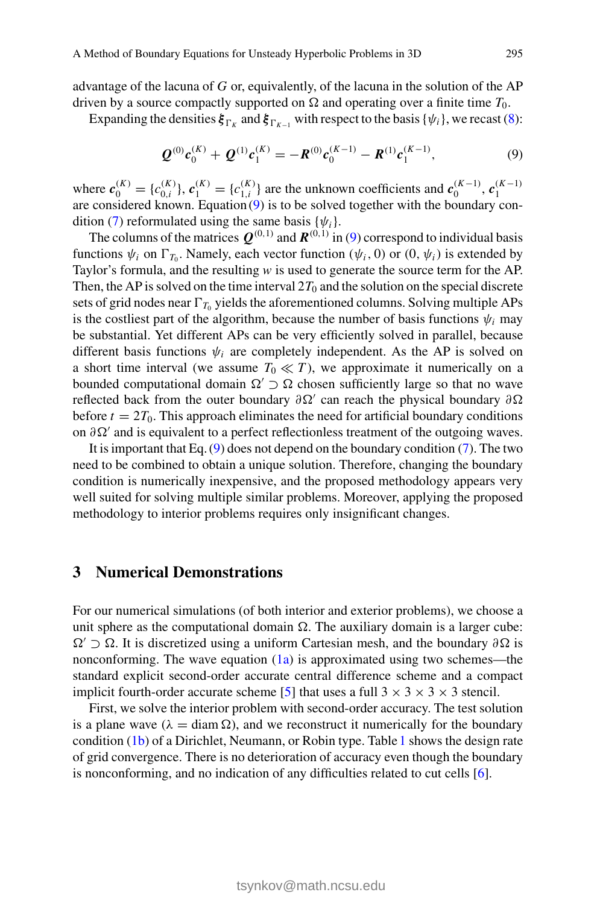advantage of the lacuna of *G* or, equivalently, of the lacuna in the solution of the AP driven by a source compactly supported on  $\Omega$  and operating over a finite time  $T_0$ .

Expanding the densities  $\xi_{\Gamma_K}$  and  $\xi_{\Gamma_{K-1}}$  with respect to the basis { $\psi_i$ }, we recast (8):

$$
\mathbf{Q}^{(0)}\mathbf{c}_0^{(K)} + \mathbf{Q}^{(1)}\mathbf{c}_1^{(K)} = -\mathbf{R}^{(0)}\mathbf{c}_0^{(K-1)} - \mathbf{R}^{(1)}\mathbf{c}_1^{(K-1)},
$$
\n(9)

where  $c_0^{(K)} = \{c_{0,i}^{(K)}\}\$ ,  $c_1^{(K)} = \{c_{1,i}^{(K)}\}\$  are the unknown coefficients and  $c_0^{(K-1)}$ ,  $c_1^{(K-1)}$ are considered known. Equation  $(9)$  is to be solved together with the boundary condition (7) reformulated using the same basis  $\{\psi_i\}$ .

The columns of the matrices  $Q^{(0,1)}$  and  $R^{(0,1)}$  in (9) correspond to individual basis functions  $\psi_i$  on  $\Gamma_{T_0}$ . Namely, each vector function  $(\psi_i, 0)$  or  $(0, \psi_i)$  is extended by Taylor's formula, and the resulting *w* is used to generate the source term for the AP. Then, the AP is solved on the time interval  $2T_0$  and the solution on the special discrete sets of grid nodes near  $\Gamma_{T_0}$  yields the aforementioned columns. Solving multiple APs is the costliest part of the algorithm, because the number of basis functions  $\psi_i$  may be substantial. Yet different APs can be very efficiently solved in parallel, because different basis functions  $\psi_i$  are completely independent. As the AP is solved on a short time interval (we assume  $T_0 \ll T$ ), we approximate it numerically on a bounded computational domain  $\Omega' \supset \Omega$  chosen sufficiently large so that no wave reflected back from the outer boundary  $\partial \Omega'$  can reach the physical boundary  $\partial \Omega$ before  $t = 2T_0$ . This approach eliminates the need for artificial boundary conditions on  $\partial Ω'$  and is equivalent to a perfect reflectionless treatment of the outgoing waves.

It is important that Eq.  $(9)$  does not depend on the boundary condition  $(7)$ . The two need to be combined to obtain a unique solution. Therefore, changing the boundary condition is numerically inexpensive, and the proposed methodology appears very well suited for solving multiple similar problems. Moreover, applying the proposed methodology to interior problems requires only insignificant changes.

#### **3 Numerical Demonstrations**

For our numerical simulations (of both interior and exterior problems), we choose a unit sphere as the computational domain  $\Omega$ . The auxiliary domain is a larger cube:  $\Omega' \supset \Omega$ . It is discretized using a uniform Cartesian mesh, and the boundary  $\partial \Omega$  is nonconforming. The wave equation  $(1a)$  is approximated using two schemes—the standard explicit second-order accurate central difference scheme and a compact implicit fourth-order accurate scheme [5] that uses a full  $3 \times 3 \times 3 \times 3$  stencil.

First, we solve the interior problem with second-order accuracy. The test solution is a plane wave ( $\lambda = \text{diam } \Omega$ ), and we reconstruct it numerically for the boundary condition (1b) of a Dirichlet, Neumann, or Robin type. Table 1 shows the design rate of grid convergence. There is no deterioration of accuracy even though the boundary is nonconforming, and no indication of any difficulties related to cut cells [6].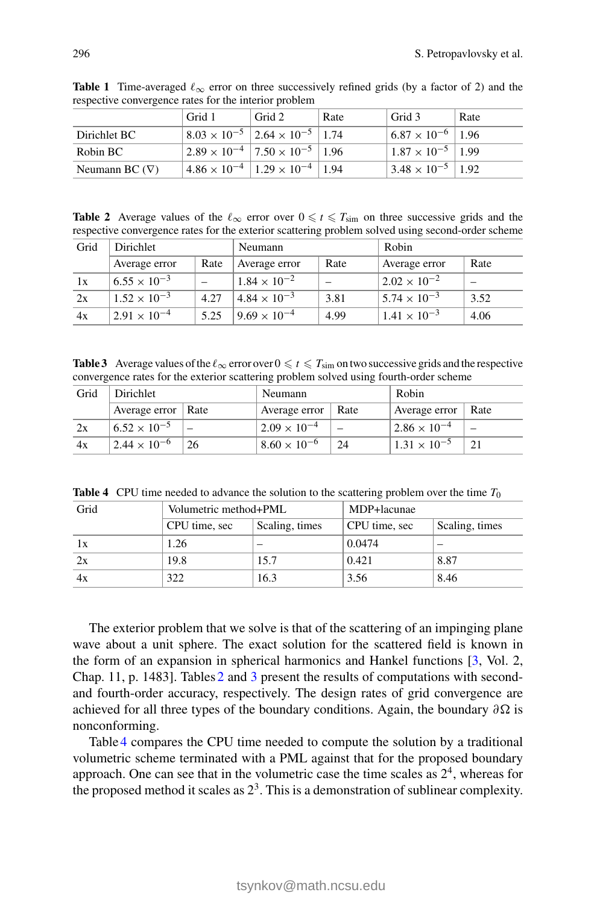|                       | Grid 1                                               | Grid 2                                               | Rate | Grid 3                               | Rate |
|-----------------------|------------------------------------------------------|------------------------------------------------------|------|--------------------------------------|------|
| Dirichlet BC          | $ 8.03 \times 10^{-5} $ $ 2.64 \times 10^{-5} $ 1.74 |                                                      |      | $6.87 \times 10^{-6}$ 1.96           |      |
| Robin BC              | $ 2.89 \times 10^{-4}$ $ 7.50 \times 10^{-5}$   1.96 |                                                      |      | $1.87 \times 10^{-5}$ 1.99           |      |
| Neumann BC $(\nabla)$ |                                                      | $4.86 \times 10^{-4}$   $1.29 \times 10^{-4}$   1.94 |      | $\frac{1}{3.48} \times 10^{-5}$ 1.92 |      |

**Table 1** Time-averaged  $\ell_{\infty}$  error on three successively refined grids (by a factor of 2) and the respective convergence rates for the interior problem

**Table 2** Average values of the  $\ell_{\infty}$  error over  $0 \le t \le T_{sim}$  on three successive grids and the respective convergence rates for the exterior scattering problem solved using second-order scheme

| Grid | <b>Dirichlet</b>       |      | Neumann                |                          | Robin                  |                          |
|------|------------------------|------|------------------------|--------------------------|------------------------|--------------------------|
|      | Average error          | Rate | Average error          | Rate                     | Average error          | Rate                     |
| 1x   | $6.55 \times 10^{-3}$  |      | $1.84 \times 10^{-2}$  | $\overline{\phantom{0}}$ | $12.02 \times 10^{-2}$ | $\overline{\phantom{a}}$ |
| 2x   | $1.52 \times 10^{-3}$  | 4.27 | $4.84 \times 10^{-3}$  | 3.81                     | $5.74 \times 10^{-3}$  | 3.52                     |
| 4x   | $12.91 \times 10^{-4}$ | 5.25 | $19.69 \times 10^{-4}$ | 4.99                     | $1.41 \times 10^{-3}$  | 4.06                     |

**Table 3** Average values of the  $\ell_{\infty}$  error over  $0 \le t \le T_{\text{sim}}$  on two successive grids and the respective convergence rates for the exterior scattering problem solved using fourth-order scheme

| Grid | Dirichlet              |                          | Neumann               |    | Robin                 |      |
|------|------------------------|--------------------------|-----------------------|----|-----------------------|------|
|      | Average error   Rate   |                          | Average error   Rate  |    | Average error         | Rate |
| 2x   | $6.52 \times 10^{-5}$  | $\overline{\phantom{a}}$ | $2.09 \times 10^{-4}$ | -  | $2.86 \times 10^{-4}$ | -    |
| 4x   | $12.44 \times 10^{-6}$ | 26                       | $8.60 \times 10^{-6}$ | 24 | $1.31 \times 10^{-5}$ |      |

**Table 4** CPU time needed to advance the solution to the scattering problem over the time  $T_0$ 

| Grid | Volumetric method+PML |                | MDP+lacunae   |                |  |
|------|-----------------------|----------------|---------------|----------------|--|
|      | CPU time, sec         | Scaling, times | CPU time, sec | Scaling, times |  |
|      | 1.26                  |                | 0.0474        |                |  |
| 2x   | 19.8                  | 15.7           | 0.421         | 8.87           |  |
| 4x   | 322                   | 16.3           | 3.56          | 8.46           |  |

The exterior problem that we solve is that of the scattering of an impinging plane wave about a unit sphere. The exact solution for the scattered field is known in the form of an expansion in spherical harmonics and Hankel functions [3, Vol. 2, Chap. 11, p. 1483]. Tables 2 and 3 present the results of computations with secondand fourth-order accuracy, respectively. The design rates of grid convergence are achieved for all three types of the boundary conditions. Again, the boundary  $\partial\Omega$  is nonconforming.

Table 4 compares the CPU time needed to compute the solution by a traditional volumetric scheme terminated with a PML against that for the proposed boundary approach. One can see that in the volumetric case the time scales as  $2<sup>4</sup>$ , whereas for the proposed method it scales as  $2<sup>3</sup>$ . This is a demonstration of sublinear complexity.